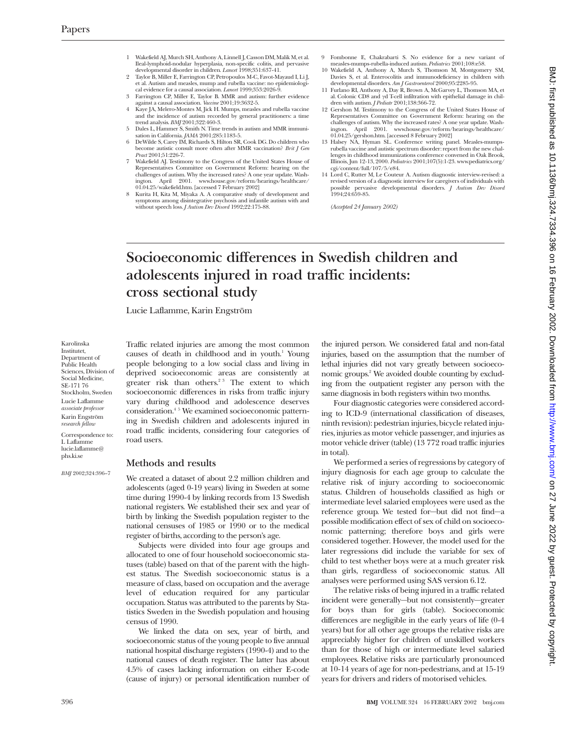- 1 Wakefield AJ, Murch SH, Anthony A, Linnell J, Casson DM, Malik M, et al. Ileal-lymphoid-nodular hyperplasia, non-specific colitis, and pervasive developmental disorder in children. *Lancet* 1998;351:637-41.
- 2 Taylor B, Miller E, Farrington CP, Petropoulos M-C, Favot-Mayaud I, Li J, et al. Autism and measles, mump and rubella vaccine: no epidemiologi-cal evidence for a causal association. *Lancet* 1999;353:2026-9.
- 3 Farrington CP, Miller E, Taylor B. MMR and autism: further evidence against a causal association. *Vaccine* 2001;19:3632-5.
- 4 Kaye JA, Melero-Montes M, Jick H. Mumps, measles and rubella vaccine and the incidence of autism recorded by general practitioners: a time trend analysis. *BMJ* 2001;322:460-3.
- 5 Dales L, Hammer S, Smith N. Time trends in autism and MMR immunisation in California. *JAMA* 2001;285:1183-5.
- 6 DeWilde S, Carey IM, Richards S, Hilton SR, Cook DG. Do children who become autistic consult more often after MMR vaccination? *Brit J Gen Pract* 2001;51:226-7.
- 7 Wakefield AJ. Testimony to the Congress of the United States House of Representatives Committee on Government Reform: hearing on the challenges of autism. Why the increased rates? A one year update. Washington. April 2001. www.house.gov/reform/hearings/healthcare/ 01.04.25/wakefield.htm. [accessed 7 February 2002]
- 8 Kurita H, Kita M, Miyaka A. A comparative study of development and symptoms among disintegrative psychosis and infantile autism with and without speech loss. *J Autism Dev Disord* 1992;22:175-88.
- 9 Fombonne E, Chakrabarti S. No evidence for a new variant of measles-mumps-rubella-induced autism*. Pediatrics* 2001;108:e58.
- 10 Wakefield A, Anthony A, Murch S, Thomson M, Montgomery SM, Davies S, et al. Enterocolitis and immunodeficiency in children with developmental disorders. *Am J Gastroenterol* 2000;95:2285-95.
- 11 Furlano RI, Anthony A, Day R, Brown A, McGarvey L, Thomson MA, et al. Colonic CD8 and  $\gamma$ d T-cell infiltration with epithelial damage in children with autism. *J Pediatr* 2001;138:366-72.
- 12 Gershon M. Testimony to the Congress of the United States House of Representatives Committee on Government Reform: hearing on the challenges of autism. Why the increased rates? A one year update. Washington. April 2001. www.house.gov/reform/hearings/healthcare/ 01.04.25/gershon.htm. [accessed 8 February 2002]
- 13 Halsey NA, Hyman SL. Conference writing panel. Measles-mumps-rubella vaccine and autistic spectrum disorder: report from the new challenges in childhood immunizations conference convened in Oak Brook, Illinois, Jun 12-13, 2000. *Pediatrics* 2001;107(5):1-23. www.pediatrics.org/ cgi/content/full/107/5/e84.
- 14 Lord C, Rutter M, Le Couteur A. Autism diagnostic interview-revised: a revised version of a diagnostic interview for caregivers of individuals with possible pervasive developmental disorders. *J Autism Dev Disord* 1994;24:659-85.

*(Accepted 24 January 2002)*

## **Socioeconomic differences in Swedish children and adolescents injured in road traffic incidents: cross sectional study**

Lucie Laflamme, Karin Engström

Karolinska Institutet, Department of Public Health Sciences, Division of Social Medicine, SE-171 76 Stockholm, Sweden Lucie Laflamme *associate professor* Karin Engström *research fellow*

Correspondence to: L Laflamme lucie.laflamme@ phs.ki.se

*BMJ* 2002;324:396–7

Traffic related injuries are among the most common causes of death in childhood and in youth.<sup>1</sup> Young people belonging to a low social class and living in deprived socioeconomic areas are consistently at greater risk than others.<sup>23</sup> The extent to which socioeconomic differences in risks from traffic injury vary during childhood and adolescence deserves consideration.4 5 We examined socioeconomic patterning in Swedish children and adolescents injured in road traffic incidents, considering four categories of road users.

## **Methods and results**

We created a dataset of about 2.2 million children and adolescents (aged 0-19 years) living in Sweden at some time during 1990-4 by linking records from 13 Swedish national registers. We established their sex and year of birth by linking the Swedish population register to the national censuses of 1985 or 1990 or to the medical register of births, according to the person's age.

Subjects were divided into four age groups and allocated to one of four household socioeconomic statuses (table) based on that of the parent with the highest status. The Swedish socioeconomic status is a measure of class, based on occupation and the average level of education required for any particular occupation. Status was attributed to the parents by Statistics Sweden in the Swedish population and housing census of 1990.

We linked the data on sex, year of birth, and socioeconomic status of the young people to five annual national hospital discharge registers (1990-4) and to the national causes of death register. The latter has about 4.5% of cases lacking information on either E-code (cause of injury) or personal identification number of

the injured person. We considered fatal and non-fatal injuries, based on the assumption that the number of lethal injuries did not vary greatly between socioeconomic groups.2 We avoided double counting by excluding from the outpatient register any person with the same diagnosis in both registers within two months.

Four diagnostic categories were considered according to ICD-9 (international classification of diseases, ninth revision): pedestrian injuries, bicycle related injuries, injuries as motor vehicle passenger, and injuries as motor vehicle driver (table) (13 772 road traffic injuries in total).

We performed a series of regressions by category of injury diagnosis for each age group to calculate the relative risk of injury according to socioeconomic status. Children of households classified as high or intermediate level salaried employees were used as the reference group. We tested for—but did not find—a possible modification effect of sex of child on socioeconomic patterning; therefore boys and girls were considered together. However, the model used for the later regressions did include the variable for sex of child to test whether boys were at a much greater risk than girls, regardless of socioeconomic status. All analyses were performed using SAS version 6.12.

The relative risks of being injured in a traffic related incident were generally—but not consistently—greater for boys than for girls (table). Socioeconomic differences are negligible in the early years of life (0-4 years) but for all other age groups the relative risks are appreciably higher for children of unskilled workers than for those of high or intermediate level salaried employees. Relative risks are particularly pronounced at 10-14 years of age for non-pedestrians, and at 15-19 years for drivers and riders of motorised vehicles.